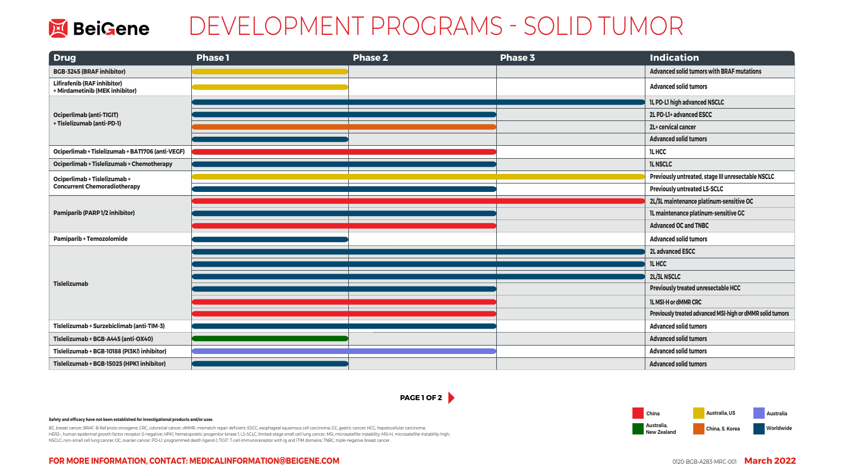**Worldwide Australia, US China, S. Korea Australia Australia, New Zealand** 

### **FOR MORE INFORMATION, CONTACT: MEDICALINFORMATION@BEIGENE.COM**

BC, breast cancer; BRAF, B-Raf proto-oncogene; CRC, colorectal cancer; dMMR, mismatch repair deficient; ESCC, esophageal squamous cell carcinoma; GC, gastric cancer; HCC, hepatocellular carcinoma; HER2–, human epidermal growth factor receptor-2–negative; HPK1, hematopoietic progenitor kinase 1; LS-SCLC, limited-stage small cell lung cancer; MSI, microsatellite instability; MSI-H, microsatellite instability-high; NSCLC, non–small cell lung cancer; OC, ovarian cancer; PD-L1: programmed death ligand-1; TIGIT: T-cell immunoreceptor with Ig and ITIM domains; TNBC, triple-negative breast cancer.



# DEVELOPMENT PROGRAMS - SOLID TUMOR

#### **Safety and efficacy have not been established for investigational products and/or uses.**

| <b>Drug</b>                                                          | <b>Phase1</b> | <b>Phase 2</b> | <b>Phase 3</b> | <b>Indication</b>                                         |
|----------------------------------------------------------------------|---------------|----------------|----------------|-----------------------------------------------------------|
| <b>BGB-3245 (BRAF inhibitor)</b>                                     |               |                |                | <b>Advanced solid tumors with BRAF mutations</b>          |
| <b>Lifirafenib (RAF inhibitor)</b><br>+ Mirdametinib (MEK inhibitor) |               |                |                | <b>Advanced solid tumors</b>                              |
| <b>Ociperlimab (anti-TIGIT)</b><br>+ Tislelizumab (anti-PD-1)        |               |                |                | <b>IL PD-LI high advanced NSCLC</b>                       |
|                                                                      |               |                |                | 2L PD-L1+ advanced ESCC                                   |
|                                                                      |               |                |                | 2L+ cervical cancer                                       |
|                                                                      |               |                |                | <b>Advanced solid tumors</b>                              |
| Ociperlimab + Tislelizumab + BATI706 (anti-VEGF)                     |               |                |                | <b>ILHCC</b>                                              |
| Ociperlimab + Tislelizumab + Chemotherapy                            |               |                |                | <b>IL NSCLC</b>                                           |
| Ociperlimab + Tislelizumab +<br><b>Concurrent Chemoradiotherapy</b>  |               |                |                | Previously untreated, stage III unresectable NSCLC        |
|                                                                      |               |                |                | <b>Previously untreated LS-SCLC</b>                       |
|                                                                      |               |                |                | 2L/3L maintenance platinum-sensitive OC                   |
| <b>Pamiparib (PARP 1/2 inhibitor)</b>                                |               |                |                | IL maintenance platinum-sensitive GC                      |
|                                                                      |               |                |                | <b>Advanced OC and TNBC</b>                               |
| <b>Pamiparib + Temozolomide</b>                                      |               |                |                | <b>Advanced solid tumors</b>                              |
| <b>Tislelizumab</b>                                                  |               |                |                | <b>2L advanced ESCC</b>                                   |
|                                                                      |               |                |                | <b>ILHCC</b>                                              |
|                                                                      |               |                |                | 2L/3L NSCLC                                               |
|                                                                      |               |                |                | <b>Previously treated unresectable HCC</b>                |
|                                                                      |               |                |                | <b>IL MSI-H or dMMR CRC</b>                               |
|                                                                      |               |                |                | Previously treated advanced MSI-high or dMMR solid tumors |
| Tislelizumab + Surzebiclimab (anti-TIM-3)                            |               |                |                | <b>Advanced solid tumors</b>                              |
| Tislelizumab + BGB-A445 (anti-OX40)                                  |               |                |                | <b>Advanced solid tumors</b>                              |
| Tislelizumab + BGB-10188 (PI3Kδ inhibitor)                           |               |                |                | <b>Advanced solid tumors</b>                              |
| Tislelizumab + BGB-15025 (HPK1 inhibitor)                            |               |                |                | <b>Advanced solid tumors</b>                              |